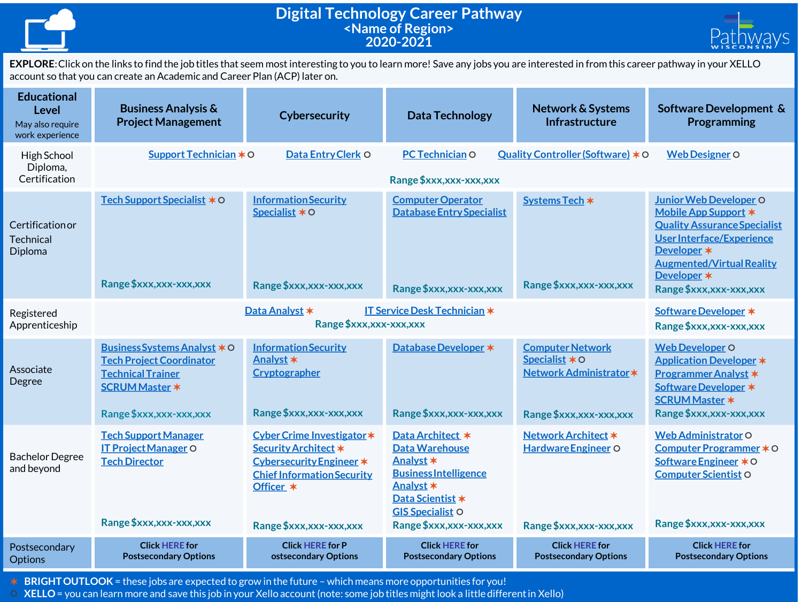

## **Digital Technology Career Pathway <Name of Region> 2020-2021**



**EXPLORE**: Click on the links to find the job titles that seem most interesting to you to learn more! Save any jobs you are interested in from this career pathway in your XELLO account so that you can create an Academic and Career Plan (ACP) later on.

| <b>Educational</b><br>Level<br>May also require<br>work experience | <b>Business Analysis &amp;</b><br><b>Project Management</b>                                                                                              | Cybersecurity                                                                                                                                                               | <b>Data Technology</b>                                                                                                                                                          | <b>Network &amp; Systems</b><br><b>Infrastructure</b>                                              | Software Development &<br>Programming                                                                                                                                                                                    |
|--------------------------------------------------------------------|----------------------------------------------------------------------------------------------------------------------------------------------------------|-----------------------------------------------------------------------------------------------------------------------------------------------------------------------------|---------------------------------------------------------------------------------------------------------------------------------------------------------------------------------|----------------------------------------------------------------------------------------------------|--------------------------------------------------------------------------------------------------------------------------------------------------------------------------------------------------------------------------|
| High School<br>Diploma,<br>Certification                           | Support Technician * O                                                                                                                                   | Quality Controller (Software) * O<br>Web Designer O                                                                                                                         |                                                                                                                                                                                 |                                                                                                    |                                                                                                                                                                                                                          |
| Certification or<br><b>Technical</b><br>Diploma                    | Tech Support Specialist * O<br>Range \$xxx, xxx-xxx, xxx                                                                                                 | <b>Information Security</b><br>Specialist * O<br>Range \$xxx, xxx-xxx, xxx                                                                                                  | <b>Computer Operator</b><br><b>Database Entry Specialist</b><br>Range \$xxx, xxx-xxx, xxx                                                                                       | Systems Tech *<br>Range \$xxx, xxx-xxx, xxx                                                        | <b>Junior Web Developer O</b><br>Mobile App Support *<br><b>Quality Assurance Specialist</b><br>User Interface/Experience<br>Developer *<br><b>Augmented/Virtual Reality</b><br>Developer *<br>Range \$xxx, xxx-xxx, xxx |
| Registered<br>Apprenticeship                                       | Data Analyst *                                                                                                                                           | Software Developer *<br>Range \$xxx, xxx-xxx, xxx                                                                                                                           |                                                                                                                                                                                 |                                                                                                    |                                                                                                                                                                                                                          |
| Associate<br>Degree                                                | <b>Business Systems Analyst * O</b><br><b>Tech Project Coordinator</b><br><b>Technical Trainer</b><br><b>SCRUM Master *</b><br>Range \$xxx, xxx-xxx, xxx | <b>Information Security</b><br>Analyst *<br>Cryptographer<br>Range \$xxx, xxx-xxx, xxx                                                                                      | Database Developer *<br>Range \$xxx, xxx-xxx, xxx                                                                                                                               | <b>Computer Network</b><br>Specialist $*$ O<br>Network Administrator*<br>Range \$xxx, xxx-xxx, xxx | <b>Web Developer O</b><br><b>Application Developer *</b><br><b>Programmer Analyst *</b><br>Software Developer *<br><b>SCRUM Master *</b><br>Range \$xxx, xxx-xxx, xxx                                                    |
| <b>Bachelor Degree</b><br>and beyond                               | <b>Tech Support Manager</b><br><b>IT Project Manager O</b><br><b>Tech Director</b><br>Range \$xxx, xxx-xxx, xxx                                          | <b>Cyber Crime Investigator *</b><br>Security Architect *<br><b>Cybersecurity Engineer *</b><br><b>Chief Information Security</b><br>Officer *<br>Range \$xxx, xxx-xxx, xxx | Data Architect *<br><b>Data Warehouse</b><br>Analyst *<br><b>Business Intelligence</b><br>Analyst *<br>Data Scientist *<br><b>GIS Specialist O</b><br>Range \$xxx, xxx-xxx, xxx | Network Architect *<br><b>Hardware Engineer O</b><br>Range \$xxx, xxx-xxx, xxx                     | <b>Web Administrator O</b><br><b>Computer Programmer * O</b><br>Software Engineer * O<br><b>Computer Scientist O</b><br>Range \$xxx, xxx-xxx, xxx                                                                        |
| Postsecondary<br><b>Options</b>                                    | <b>Click HERE for</b><br><b>Postsecondary Options</b>                                                                                                    | <b>Click HERE for P</b><br>ostsecondary Options                                                                                                                             | <b>Click HERE for</b><br><b>Postsecondary Options</b>                                                                                                                           | <b>Click HERE for</b><br><b>Postsecondary Options</b>                                              | <b>Click HERE for</b><br><b>Postsecondary Options</b>                                                                                                                                                                    |

✶ **BRIGHT OUTLOOK** = these jobs are expected to grow in the future – which means more opportunities for you!

⚪ **XELLO**= you can learn more and save this job in your Xello account (note: some job titles might look a little different in Xello)